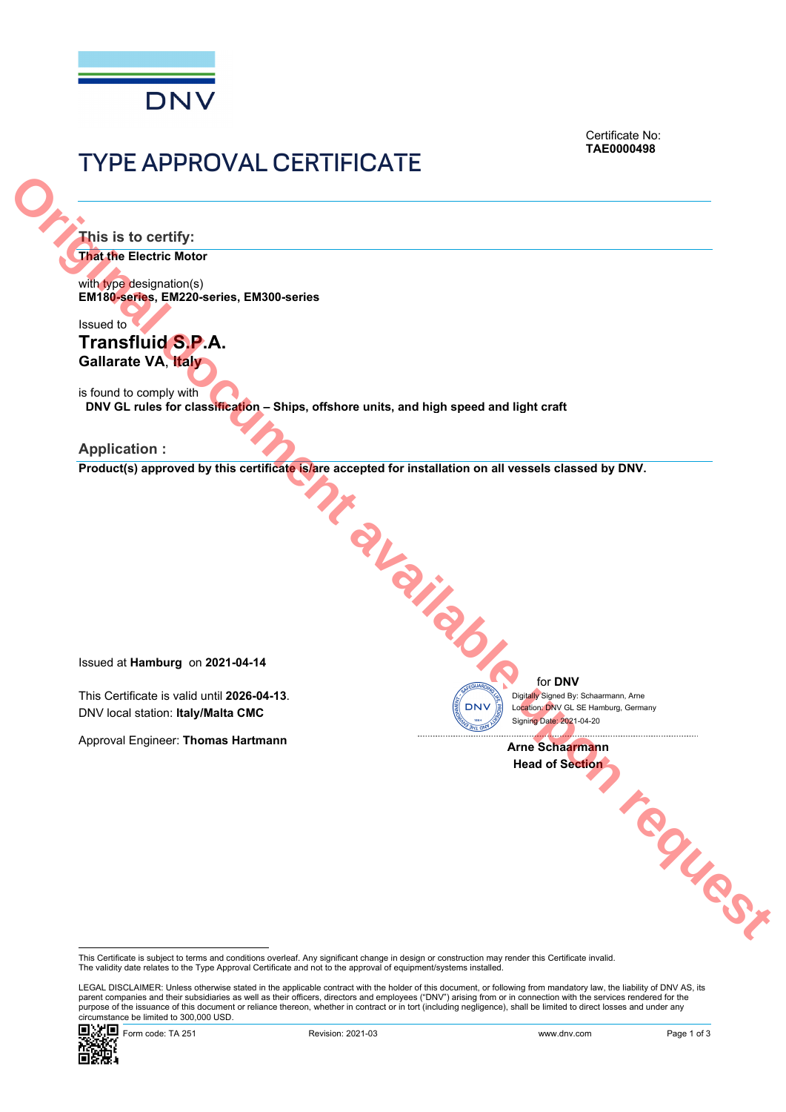

Certificate No: **TAE0000498**

# TYPE APPROVAL CERTIFICATE

**This is to certify:** 

**That the Electric Motor**

with type designation(s) **EM180-series, EM220-series, EM300-series**

Issued to

**Transfluid S.P.A. Gallarate VA**, **Italy** 

is found to comply with **DNV GL rules for classification – Ships, offshore units, and high speed and light craft Original do Cortify:**<br>
Trains in the content behavior contents and the contents of the contents of the contents of the contents of the contents of the contents of the contents of the contents of the contents of the conten

**Application :** 

Product(s) approved by this certificate is/are accepted for installation on all vessels classed by DNV.

Issued at **Hamburg** on **2021-04-14**

This Certificate is valid until **2026-04-13**. DNV local station: **Italy/Malta CMC**

Approval Engineer: **Thomas Hartmann**

for **DNV**

 Signing Date: 2021-04-20 Location: DNV GL SE Hamburg, Germany Digitally Signed By: Schaarmann, Arne

**Arne Schaarmann**  Head of Section **CONSTRUCTION** 

This Certificate is subject to terms and conditions overleaf. Any significant change in design or construction may render this Certificate invalid.<br>The validity date relates to the Type Approval Certificate and not to the

 LEGAL DISCLAIMER: Unless otherwise stated in the applicable contract with the holder of this document, or following from mandatory law, the liability of DNV AS, its parent companies and their subsidiaries as well as their officers, directors and employees ("DNV") arising from or in connection with the services rendered for the purpose of the issuance of this document or reliance thereon, whether in contract or in tort (including negligence), shall be limited to direct losses and under any circumstance be limited to 300,000 USD.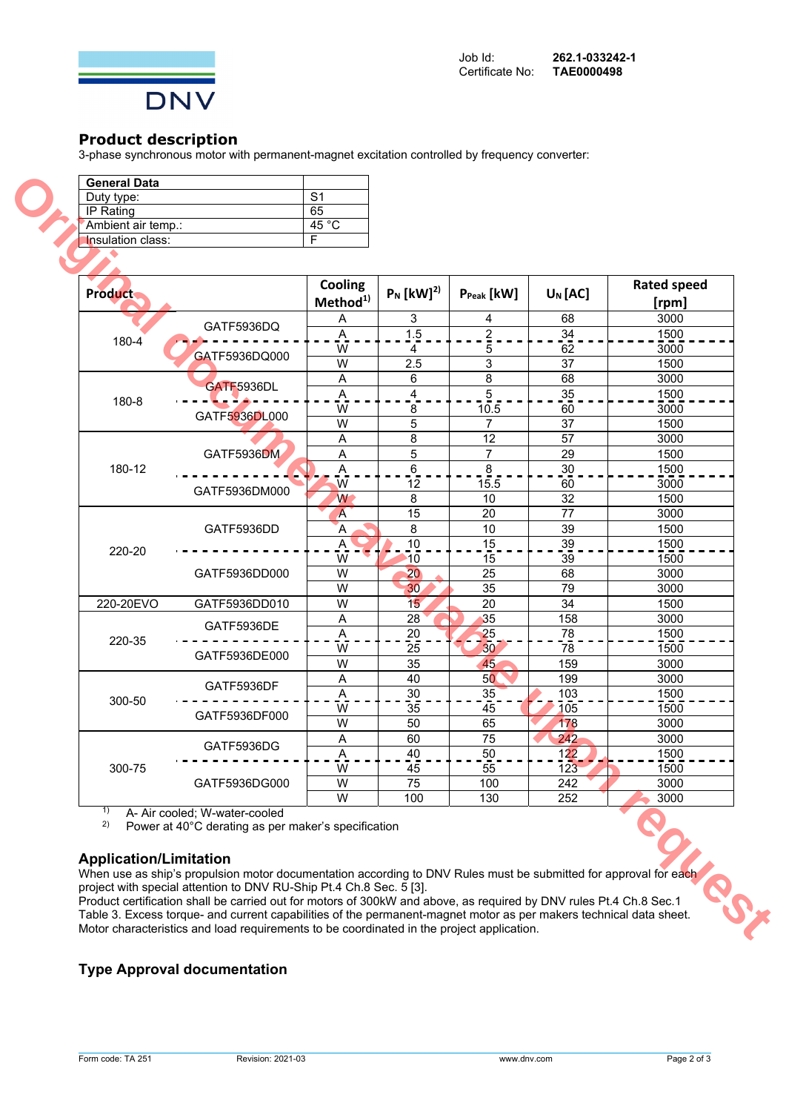

## **Product description**

3-phase synchronous motor with permanent-magnet excitation controlled by frequency converter:

| <b>General Data</b>      |                |
|--------------------------|----------------|
| Duty type:               | S <sub>1</sub> |
| IP Rating                | 65             |
| 'Ambient air temp.:      | 45 °C          |
| <b>Insulation class:</b> |                |
|                          |                |

| <b>Product</b> |                                                | Cooling<br>Method <sup>1)</sup> | $P_N$ [kW] <sup>2)</sup> | $P_{Peak}$ [kW]         | $U_N$ [AC]      | <b>Rated speed</b><br>[rpm] |
|----------------|------------------------------------------------|---------------------------------|--------------------------|-------------------------|-----------------|-----------------------------|
|                |                                                | A                               | 3                        | 4                       | 68              | 3000                        |
|                | GATF5936DQ                                     | Α                               | 1.5                      | $\overline{\mathbf{c}}$ | 34              | 1500                        |
| 180-4          |                                                | W                               | 4                        | 5                       | 62              | 3000                        |
|                | GATF5936DQ000                                  | W                               | 2.5                      | 3                       | 37              | 1500                        |
|                | <b>GATF5936DL</b>                              | Α                               | 6                        | 8                       | 68              | 3000                        |
| 180-8          |                                                | A                               | 4                        | $\overline{5}$          | $\overline{35}$ | 1500                        |
|                |                                                | W                               | 8                        | 10.5                    | 60              | 3000                        |
|                | GATF5936DL000                                  | W                               | 5                        | 7                       | 37              | 1500                        |
|                | GATF5936DM                                     | Α                               | 8                        | 12                      | 57              | 3000                        |
|                |                                                | Α                               | 5                        | 7                       | 29              | 1500                        |
| 180-12         |                                                | A                               | 6                        | 8                       | 30              | 1500                        |
|                | GATF5936DM000                                  | W                               | 12                       | 15.5                    | 60              | 3000                        |
|                |                                                | W                               | 8                        | 10                      | 32              | 1500                        |
|                | GATF5936DD                                     | A                               | 15                       | 20                      | $\overline{77}$ | 3000                        |
|                |                                                | Ά                               | 8                        | 10                      | 39              | 1500                        |
| 220-20         |                                                | Α                               | 10                       | 15                      | 39              | 1500                        |
|                | GATF5936DD000                                  | W                               | 10                       | 15                      | 39              | 1500                        |
|                |                                                | W                               | 20                       | 25                      | 68              | 3000                        |
|                |                                                | W                               | 30                       | 35                      | 79              | 3000                        |
| 220-20EVO      | GATF5936DD010                                  | W                               | 15                       | 20                      | 34              | 1500                        |
|                | GATF5936DE                                     | Α                               | 28                       | 35                      | 158             | 3000                        |
| 220-35         |                                                | A                               | $20\,$                   | 25                      | 78              | 1500                        |
|                | GATF5936DE000                                  | W                               | 25                       | 30 <sup>°</sup>         | 78              | 1500                        |
|                |                                                | W                               | 35                       | 45                      | 159             | 3000                        |
|                | GATF5936DF<br>GATF5936DF000                    | Α                               | 40                       | 50 <sup>°</sup>         | 199             | 3000                        |
| 300-50         |                                                | A                               | 30                       | 35                      | 103             | 1500                        |
|                |                                                | W                               | 35                       | 45                      | 105             | 1500                        |
|                |                                                | W                               | 50                       | 65                      | 178             | 3000                        |
|                | GATF5936DG                                     | Α                               | 60                       | 75                      | 242             | 3000                        |
|                |                                                | Α                               | 40                       | 50                      | 122             | 1500                        |
| 300-75         | GATF5936DG000<br>A- Air cooled; W-water-cooled | W                               | 45                       | 55                      | 123             | 1500                        |
|                |                                                | W                               | 75                       | 100                     | 242             | 3000                        |
| 1)             |                                                | W                               | 100                      | 130                     | 252             | 3000                        |

## **Application/Limitation**

## **Type Approval documentation**